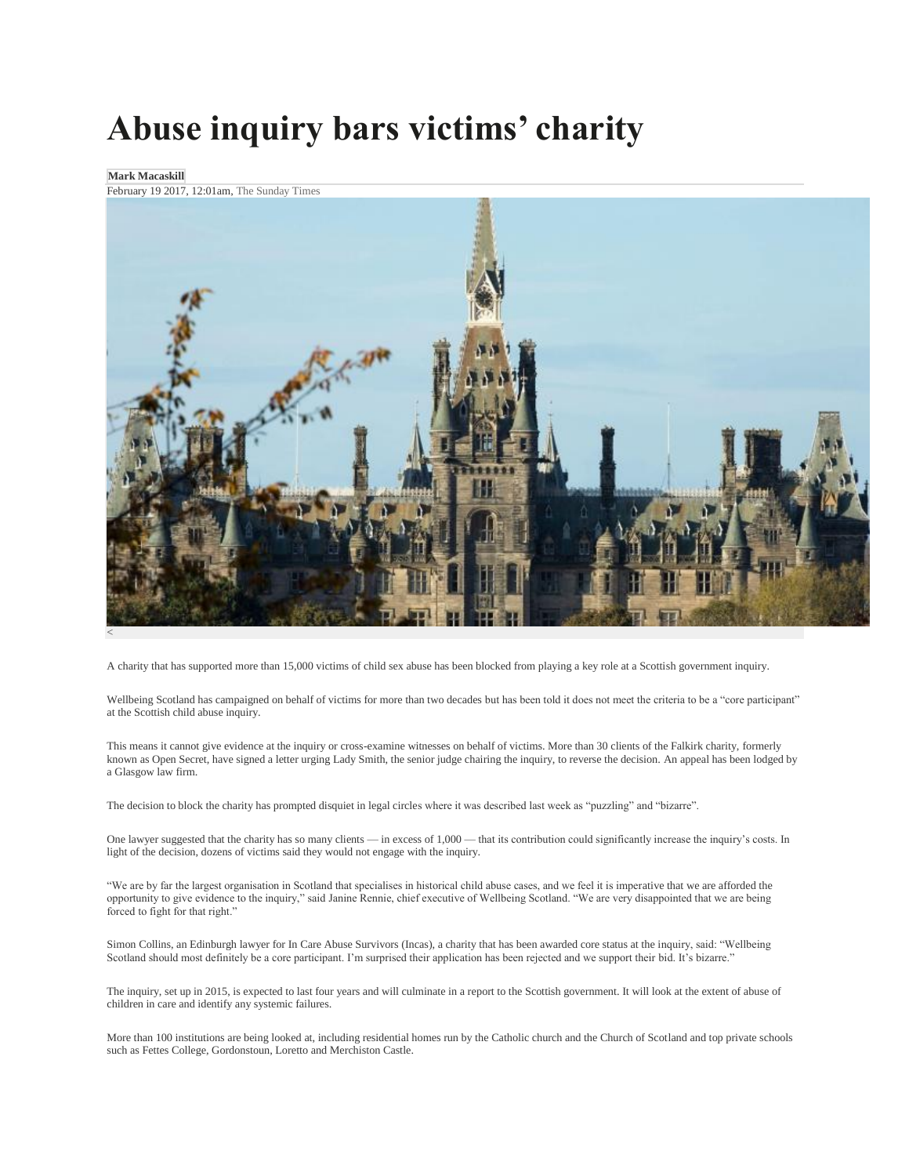## **Abuse inquiry bars victims' charity**

## **Mark Macaskill**

February 19 2017, 12:01am, The Sunday Times



A charity that has supported more than 15,000 victims of child sex abuse has been blocked from playing a key role at a Scottish government inquiry.

Wellbeing Scotland has campaigned on behalf of victims for more than two decades but has been told it does not meet the criteria to be a "core participant" at the Scottish child abuse inquiry.

This means it cannot give evidence at the inquiry or cross-examine witnesses on behalf of victims. More than 30 clients of the Falkirk charity, formerly known as Open Secret, have signed a letter urging Lady Smith, the senior judge chairing the inquiry, to reverse the decision. An appeal has been lodged by a Glasgow law firm.

The decision to block the charity has prompted disquiet in legal circles where it was described last week as "puzzling" and "bizarre".

One lawyer suggested that the charity has so many clients — in excess of 1,000 — that its contribution could significantly increase the inquiry's costs. In light of the decision, dozens of victims said they would not engage with the inquiry.

"We are by far the largest organisation in Scotland that specialises in historical child abuse cases, and we feel it is imperative that we are afforded the opportunity to give evidence to the inquiry," said Janine Rennie, chief executive of Wellbeing Scotland. "We are very disappointed that we are being forced to fight for that right."

Simon Collins, an Edinburgh lawyer for In Care Abuse Survivors (Incas), a charity that has been awarded core status at the inquiry, said: "Wellbeing Scotland should most definitely be a core participant. I'm surprised their application has been rejected and we support their bid. It's bizarre."

The inquiry, set up in 2015, is expected to last four years and will culminate in a report to the Scottish government. It will look at the extent of abuse of children in care and identify any systemic failures.

More than 100 institutions are being looked at, including residential homes run by the Catholic church and the Church of Scotland and top private schools such as Fettes College, Gordonstoun, Loretto and Merchiston Castle.